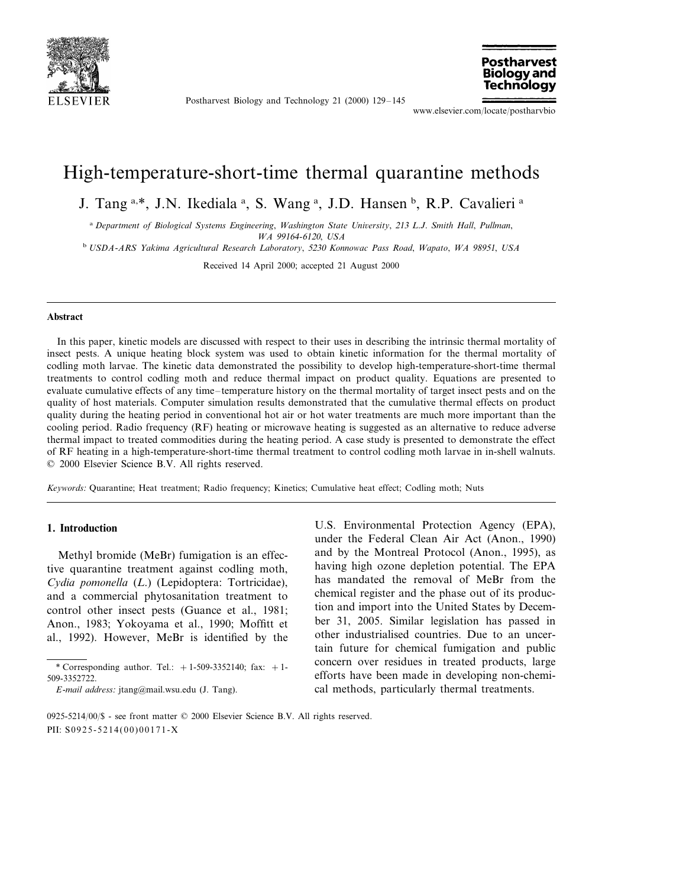

Postharvest Biology and Technology 21 (2000) 129–145



www.elsevier.com/locate/postharvbio

# High-temperature-short-time thermal quarantine methods

J. Tang a.\*, J.N. Ikediala <sup>a</sup>, S. Wang <sup>a</sup>, J.D. Hansen <sup>b</sup>, R.P. Cavalieri <sup>a</sup>

<sup>a</sup> *Department of Biological Systems Engineering*, *Washington State Uni*6*ersity*, <sup>213</sup> *L*.*J*. *Smith Hall*, *Pullman*, *WA* 99164-6120, *USA*

<sup>b</sup> *USDA*-*ARS Yakima Agricultural Research Laboratory*, <sup>5230</sup> *Konnowac Pass Road*, *Wapato*, *WA* <sup>98951</sup>, *USA*

Received 14 April 2000; accepted 21 August 2000

### **Abstract**

In this paper, kinetic models are discussed with respect to their uses in describing the intrinsic thermal mortality of insect pests. A unique heating block system was used to obtain kinetic information for the thermal mortality of codling moth larvae. The kinetic data demonstrated the possibility to develop high-temperature-short-time thermal treatments to control codling moth and reduce thermal impact on product quality. Equations are presented to evaluate cumulative effects of any time–temperature history on the thermal mortality of target insect pests and on the quality of host materials. Computer simulation results demonstrated that the cumulative thermal effects on product quality during the heating period in conventional hot air or hot water treatments are much more important than the cooling period. Radio frequency (RF) heating or microwave heating is suggested as an alternative to reduce adverse thermal impact to treated commodities during the heating period. A case study is presented to demonstrate the effect of RF heating in a high-temperature-short-time thermal treatment to control codling moth larvae in in-shell walnuts. © 2000 Elsevier Science B.V. All rights reserved.

*Keywords*: Quarantine; Heat treatment; Radio frequency; Kinetics; Cumulative heat effect; Codling moth; Nuts

### **1. Introduction**

Methyl bromide (MeBr) fumigation is an effective quarantine treatment against codling moth, *Cydia pomonella* (*L*.) (Lepidoptera: Tortricidae), and a commercial phytosanitation treatment to control other insect pests (Guance et al., 1981; Anon., 1983; Yokoyama et al., 1990; Moffitt et al., 1992). However, MeBr is identified by the U.S. Environmental Protection Agency (EPA), under the Federal Clean Air Act (Anon., 1990) and by the Montreal Protocol (Anon., 1995), as having high ozone depletion potential. The EPA has mandated the removal of MeBr from the chemical register and the phase out of its production and import into the United States by December 31, 2005. Similar legislation has passed in other industrialised countries. Due to an uncertain future for chemical fumigation and public concern over residues in treated products, large efforts have been made in developing non-chemical methods, particularly thermal treatments.

<sup>\*</sup> Corresponding author. Tel.:  $+1-509-3352140$ ; fax:  $+1-$ 509-3352722.

*E*-*mail address*: jtang@mail.wsu.edu (J. Tang).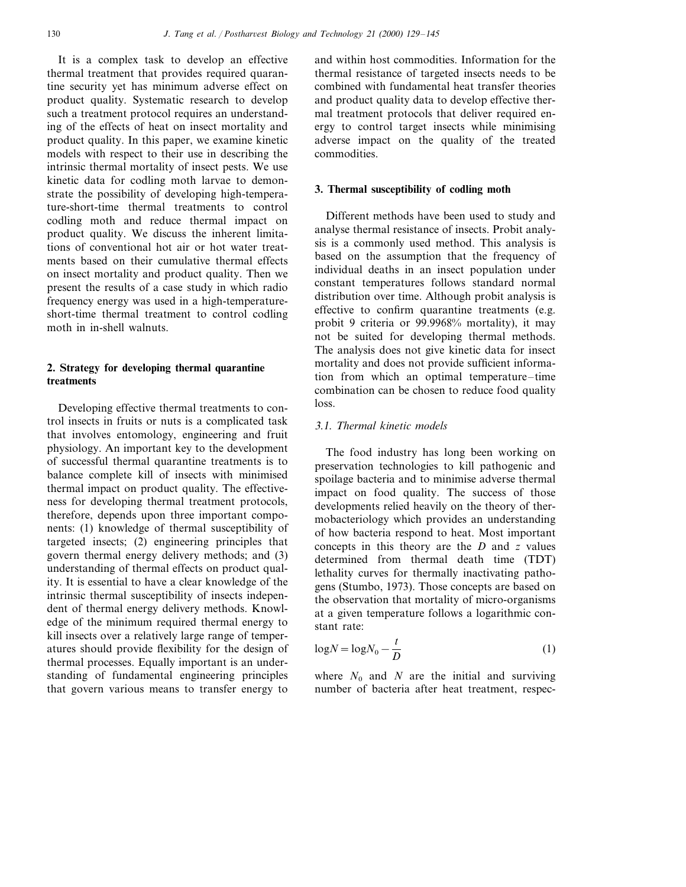It is a complex task to develop an effective thermal treatment that provides required quarantine security yet has minimum adverse effect on product quality. Systematic research to develop such a treatment protocol requires an understanding of the effects of heat on insect mortality and product quality. In this paper, we examine kinetic models with respect to their use in describing the intrinsic thermal mortality of insect pests. We use kinetic data for codling moth larvae to demonstrate the possibility of developing high-temperature-short-time thermal treatments to control codling moth and reduce thermal impact on product quality. We discuss the inherent limitations of conventional hot air or hot water treatments based on their cumulative thermal effects on insect mortality and product quality. Then we present the results of a case study in which radio frequency energy was used in a high-temperatureshort-time thermal treatment to control codling moth in in-shell walnuts.

# **2. Strategy for developing thermal quarantine treatments**

Developing effective thermal treatments to control insects in fruits or nuts is a complicated task that involves entomology, engineering and fruit physiology. An important key to the development of successful thermal quarantine treatments is to balance complete kill of insects with minimised thermal impact on product quality. The effectiveness for developing thermal treatment protocols, therefore, depends upon three important components: (1) knowledge of thermal susceptibility of targeted insects; (2) engineering principles that govern thermal energy delivery methods; and (3) understanding of thermal effects on product quality. It is essential to have a clear knowledge of the intrinsic thermal susceptibility of insects independent of thermal energy delivery methods. Knowledge of the minimum required thermal energy to kill insects over a relatively large range of temperatures should provide flexibility for the design of thermal processes. Equally important is an understanding of fundamental engineering principles that govern various means to transfer energy to

and within host commodities. Information for the thermal resistance of targeted insects needs to be combined with fundamental heat transfer theories and product quality data to develop effective thermal treatment protocols that deliver required energy to control target insects while minimising adverse impact on the quality of the treated commodities.

### **3. Thermal susceptibility of codling moth**

Different methods have been used to study and analyse thermal resistance of insects. Probit analysis is a commonly used method. This analysis is based on the assumption that the frequency of individual deaths in an insect population under constant temperatures follows standard normal distribution over time. Although probit analysis is effective to confirm quarantine treatments (e.g. probit 9 criteria or 99.9968% mortality), it may not be suited for developing thermal methods. The analysis does not give kinetic data for insect mortality and does not provide sufficient information from which an optimal temperature–time combination can be chosen to reduce food quality loss.

# 3.1. *Thermal kinetic models*

The food industry has long been working on preservation technologies to kill pathogenic and spoilage bacteria and to minimise adverse thermal impact on food quality. The success of those developments relied heavily on the theory of thermobacteriology which provides an understanding of how bacteria respond to heat. Most important concepts in this theory are the *D* and *z* values determined from thermal death time (TDT) lethality curves for thermally inactivating pathogens (Stumbo, 1973). Those concepts are based on the observation that mortality of micro-organisms at a given temperature follows a logarithmic constant rate:

$$
log N = log N_0 - \frac{t}{D}
$$
 (1)

where  $N_0$  and  $N$  are the initial and surviving number of bacteria after heat treatment, respec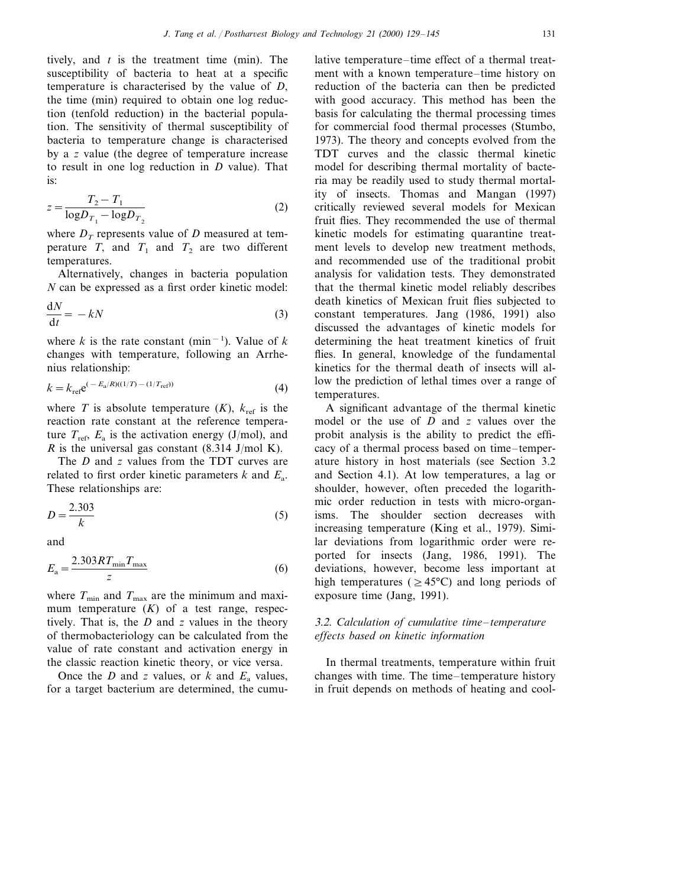tively, and *t* is the treatment time (min). The susceptibility of bacteria to heat at a specific temperature is characterised by the value of *D*, the time (min) required to obtain one log reduction (tenfold reduction) in the bacterial population. The sensitivity of thermal susceptibility of bacteria to temperature change is characterised by a *z* value (the degree of temperature increase to result in one log reduction in *D* value). That is:

$$
z = \frac{T_2 - T_1}{\log D_{T_1} - \log D_{T_2}}
$$
 (2)

where  $D_T$  represents value of *D* measured at temperature *T*, and  $T_1$  and  $T_2$  are two different temperatures.

Alternatively, changes in bacteria population *N* can be expressed as a first order kinetic model:

$$
\frac{\mathrm{d}N}{\mathrm{d}t} = -kN\tag{3}
$$

where  $k$  is the rate constant (min<sup>-1</sup>). Value of  $k$ changes with temperature, following an Arrhenius relationship:

$$
k = k_{\text{ref}} e^{(-E_a/R)((1/T) - (1/T_{\text{ref}}))}
$$
(4)

where *T* is absolute temperature  $(K)$ ,  $k_{ref}$  is the reaction rate constant at the reference temperature  $T_{ref}$ ,  $E_a$  is the activation energy (J/mol), and *R* is the universal gas constant  $(8.314 \text{ J/mol K})$ .

The *D* and *z* values from the TDT curves are related to first order kinetic parameters  $k$  and  $E_a$ . These relationships are:

$$
D = \frac{2.303}{k} \tag{5}
$$

and

$$
E_{\rm a} = \frac{2.303RT_{\rm min}T_{\rm max}}{z} \tag{6}
$$

where  $T_{\text{min}}$  and  $T_{\text{max}}$  are the minimum and maximum temperature  $(K)$  of a test range, respectively. That is, the *D* and *z* values in the theory of thermobacteriology can be calculated from the value of rate constant and activation energy in the classic reaction kinetic theory, or vice versa.

Once the *D* and *z* values, or  $k$  and  $E_a$  values, for a target bacterium are determined, the cumulative temperature–time effect of a thermal treatment with a known temperature–time history on reduction of the bacteria can then be predicted with good accuracy. This method has been the basis for calculating the thermal processing times for commercial food thermal processes (Stumbo, 1973). The theory and concepts evolved from the TDT curves and the classic thermal kinetic model for describing thermal mortality of bacteria may be readily used to study thermal mortality of insects. Thomas and Mangan (1997) critically reviewed several models for Mexican fruit flies. They recommended the use of thermal kinetic models for estimating quarantine treatment levels to develop new treatment methods, and recommended use of the traditional probit analysis for validation tests. They demonstrated that the thermal kinetic model reliably describes death kinetics of Mexican fruit flies subjected to constant temperatures. Jang (1986, 1991) also discussed the advantages of kinetic models for determining the heat treatment kinetics of fruit flies. In general, knowledge of the fundamental kinetics for the thermal death of insects will allow the prediction of lethal times over a range of temperatures.

A significant advantage of the thermal kinetic model or the use of *D* and *z* values over the probit analysis is the ability to predict the efficacy of a thermal process based on time–temperature history in host materials (see Section 3.2 and Section 4.1). At low temperatures, a lag or shoulder, however, often preceded the logarithmic order reduction in tests with micro-organisms. The shoulder section decreases with increasing temperature (King et al., 1979). Similar deviations from logarithmic order were reported for insects (Jang, 1986, 1991). The deviations, however, become less important at high temperatures ( $\geq 45^{\circ}$ C) and long periods of exposure time (Jang, 1991).

# 3.2. Calculation of cumulative time-temperature *effects based on kinetic information*

In thermal treatments, temperature within fruit changes with time. The time–temperature history in fruit depends on methods of heating and cool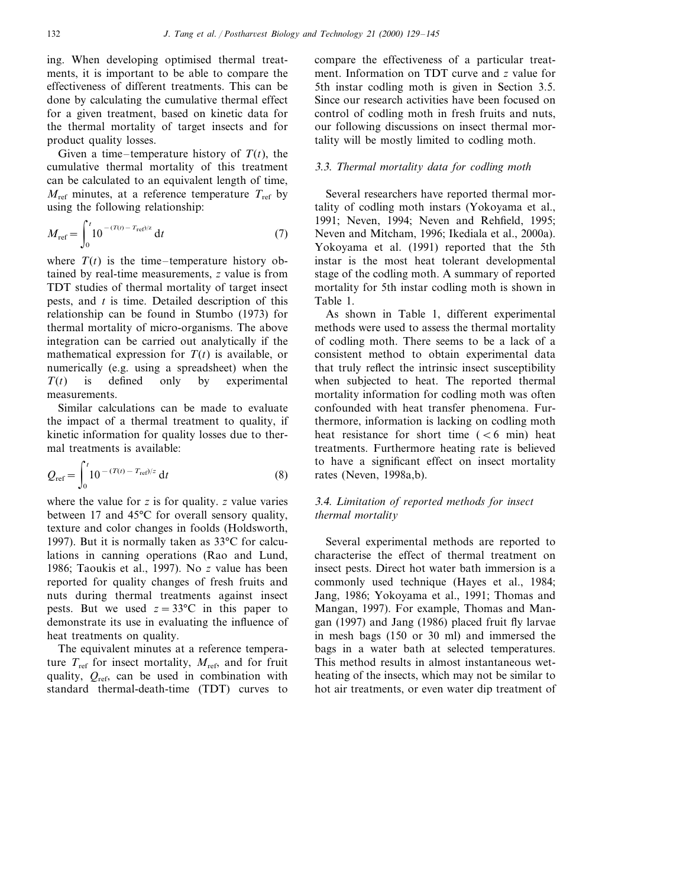ing. When developing optimised thermal treatments, it is important to be able to compare the effectiveness of different treatments. This can be done by calculating the cumulative thermal effect for a given treatment, based on kinetic data for the thermal mortality of target insects and for product quality losses.

Given a time–temperature history of  $T(t)$ , the cumulative thermal mortality of this treatment can be calculated to an equivalent length of time,  $M_{\text{ref}}$  minutes, at a reference temperature  $T_{\text{ref}}$  by using the following relationship:

$$
M_{\rm ref} = \int_0^t 10^{-(T(t) - T_{\rm ref})/z} dt
$$
 (7)

where  $T(t)$  is the time–temperature history obtained by real-time measurements, *z* value is from TDT studies of thermal mortality of target insect pests, and *t* is time. Detailed description of this relationship can be found in Stumbo (1973) for thermal mortality of micro-organisms. The above integration can be carried out analytically if the mathematical expression for  $T(t)$  is available, or numerically (e.g. using a spreadsheet) when the *T*(*t*) is defined only by experimental measurements.

Similar calculations can be made to evaluate the impact of a thermal treatment to quality, if kinetic information for quality losses due to thermal treatments is available:

$$
Q_{\rm ref} = \int_0^t 10^{-(T(t) - T_{\rm ref})/z} dt
$$
 (8)

where the value for *z* is for quality. *z* value varies between 17 and 45°C for overall sensory quality, texture and color changes in foolds (Holdsworth, 1997). But it is normally taken as 33°C for calculations in canning operations (Rao and Lund, 1986; Taoukis et al., 1997). No *z* value has been reported for quality changes of fresh fruits and nuts during thermal treatments against insect pests. But we used  $z = 33^{\circ}\text{C}$  in this paper to demonstrate its use in evaluating the influence of heat treatments on quality.

The equivalent minutes at a reference temperature  $T_{ref}$  for insect mortality,  $M_{ref}$ , and for fruit quality,  $Q_{\text{ref}}$ , can be used in combination with standard thermal-death-time (TDT) curves to compare the effectiveness of a particular treatment. Information on TDT curve and *z* value for 5th instar codling moth is given in Section 3.5. Since our research activities have been focused on control of codling moth in fresh fruits and nuts, our following discussions on insect thermal mortality will be mostly limited to codling moth.

### 3.3. *Thermal mortality data for codling moth*

Several researchers have reported thermal mortality of codling moth instars (Yokoyama et al., 1991; Neven, 1994; Neven and Rehfield, 1995; Neven and Mitcham, 1996; Ikediala et al., 2000a). Yokoyama et al. (1991) reported that the 5th instar is the most heat tolerant developmental stage of the codling moth. A summary of reported mortality for 5th instar codling moth is shown in Table 1.

As shown in Table 1, different experimental methods were used to assess the thermal mortality of codling moth. There seems to be a lack of a consistent method to obtain experimental data that truly reflect the intrinsic insect susceptibility when subjected to heat. The reported thermal mortality information for codling moth was often confounded with heat transfer phenomena. Furthermore, information is lacking on codling moth heat resistance for short time  $(< 6$  min) heat treatments. Furthermore heating rate is believed to have a significant effect on insect mortality rates (Neven, 1998a,b).

# 3.4. *Limitation of reported methods for insect thermal mortality*

Several experimental methods are reported to characterise the effect of thermal treatment on insect pests. Direct hot water bath immersion is a commonly used technique (Hayes et al., 1984; Jang, 1986; Yokoyama et al., 1991; Thomas and Mangan, 1997). For example, Thomas and Mangan (1997) and Jang (1986) placed fruit fly larvae in mesh bags (150 or 30 ml) and immersed the bags in a water bath at selected temperatures. This method results in almost instantaneous wetheating of the insects, which may not be similar to hot air treatments, or even water dip treatment of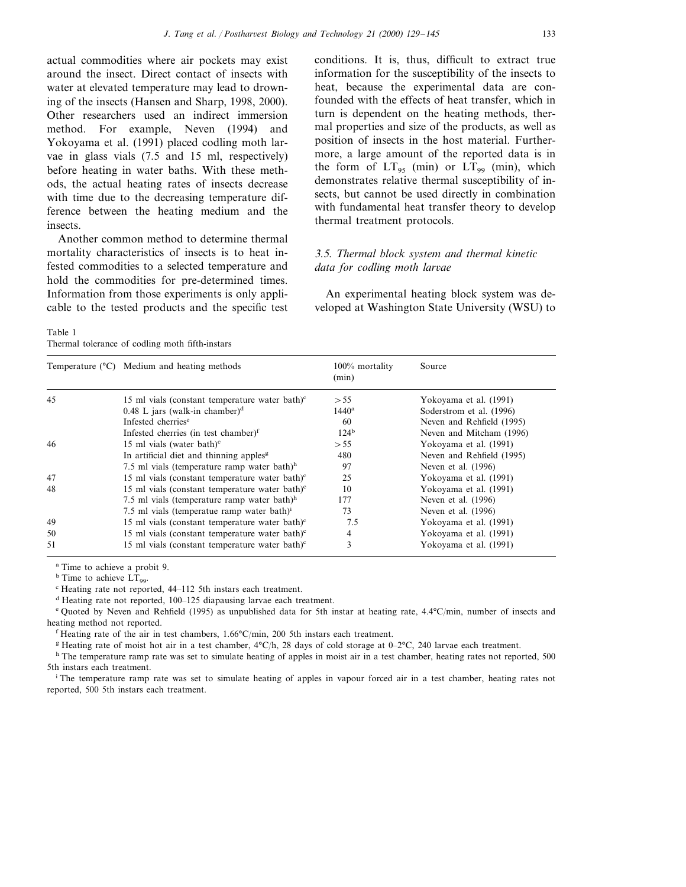actual commodities where air pockets may exist around the insect. Direct contact of insects with water at elevated temperature may lead to drowning of the insects (Hansen and Sharp, 1998, 2000). Other researchers used an indirect immersion method. For example, Neven (1994) and Yokoyama et al. (1991) placed codling moth larvae in glass vials (7.5 and 15 ml, respectively) before heating in water baths. With these methods, the actual heating rates of insects decrease with time due to the decreasing temperature difference between the heating medium and the insects.

Another common method to determine thermal mortality characteristics of insects is to heat infested commodities to a selected temperature and hold the commodities for pre-determined times. Information from those experiments is only applicable to the tested products and the specific test

conditions. It is, thus, difficult to extract true information for the susceptibility of the insects to heat, because the experimental data are confounded with the effects of heat transfer, which in turn is dependent on the heating methods, thermal properties and size of the products, as well as position of insects in the host material. Furthermore, a large amount of the reported data is in the form of  $LT_{95}$  (min) or  $LT_{99}$  (min), which demonstrates relative thermal susceptibility of insects, but cannot be used directly in combination with fundamental heat transfer theory to develop thermal treatment protocols.

# 3.5. *Thermal block system and thermal kinetic data for codling moth larvae*

An experimental heating block system was developed at Washington State University (WSU) to

Table 1

Thermal tolerance of codling moth fifth-instars

|    | Temperature (°C) Medium and heating methods              | $100\%$ mortality<br>(min) | Source                    |
|----|----------------------------------------------------------|----------------------------|---------------------------|
| 45 | 15 ml vials (constant temperature water bath) $\rm^c$    | > 55                       | Yokoyama et al. (1991)    |
|    | 0.48 L jars (walk-in chamber) <sup>d</sup>               | $1440^{\rm a}$             | Soderstrom et al. (1996)  |
|    | Infested cherries <sup>e</sup>                           | 60                         | Neven and Rehfield (1995) |
|    | Infested cherries (in test chamber) <sup>f</sup>         | 124 <sup>b</sup>           | Neven and Mitcham (1996)  |
| 46 | 15 ml vials (water bath) $\rm ^c$                        | > 55                       | Yokoyama et al. (1991)    |
|    | In artificial diet and thinning apples <sup>g</sup>      | 480                        | Neven and Rehfield (1995) |
|    | 7.5 ml vials (temperature ramp water bath) <sup>h</sup>  | 97                         | Neven et al. (1996)       |
| 47 | 15 ml vials (constant temperature water bath) $\rm^c$    | 25                         | Yokoyama et al. (1991)    |
| 48 | 15 ml vials (constant temperature water bath) $\rm^c$    | 10                         | Yokoyama et al. (1991)    |
|    | 7.5 ml vials (temperature ramp water bath) <sup>h</sup>  | 177                        | Neven et al. (1996)       |
|    | 7.5 ml vials (temperatue ramp water bath) $i$            | 73                         | Neven et al. (1996)       |
| 49 | 15 ml vials (constant temperature water bath) $\text{c}$ | 7.5                        | Yokoyama et al. (1991)    |
| 50 | 15 ml vials (constant temperature water bath) $\rm^c$    | 4                          | Yokoyama et al. (1991)    |
| 51 | 15 ml vials (constant temperature water bath) $\rm^c$    | 3                          | Yokoyama et al. (1991)    |

<sup>a</sup> Time to achieve a probit 9.<br><sup>b</sup> Time to achieve  $LT_{99}$ .

 $\degree$  Heating rate not reported, 44–112 5th instars each treatment.

<sup>d</sup> Heating rate not reported, 100–125 diapausing larvae each treatment.

<sup>e</sup> Quoted by Neven and Rehfield (1995) as unpublished data for 5th instar at heating rate, 4.4°C/min, number of insects and heating method not reported.

<sup>f</sup> Heating rate of the air in test chambers,  $1.66^{\circ}$ C/min, 200 5th instars each treatment.

<sup>g</sup> Heating rate of moist hot air in a test chamber,  $4^{\circ}C/h$ , 28 days of cold storage at 0–2 $^{\circ}C$ , 240 larvae each treatment.

<sup>h</sup> The temperature ramp rate was set to simulate heating of apples in moist air in a test chamber, heating rates not reported, 500 5th instars each treatment.

<sup>i</sup> The temperature ramp rate was set to simulate heating of apples in vapour forced air in a test chamber, heating rates not reported, 500 5th instars each treatment.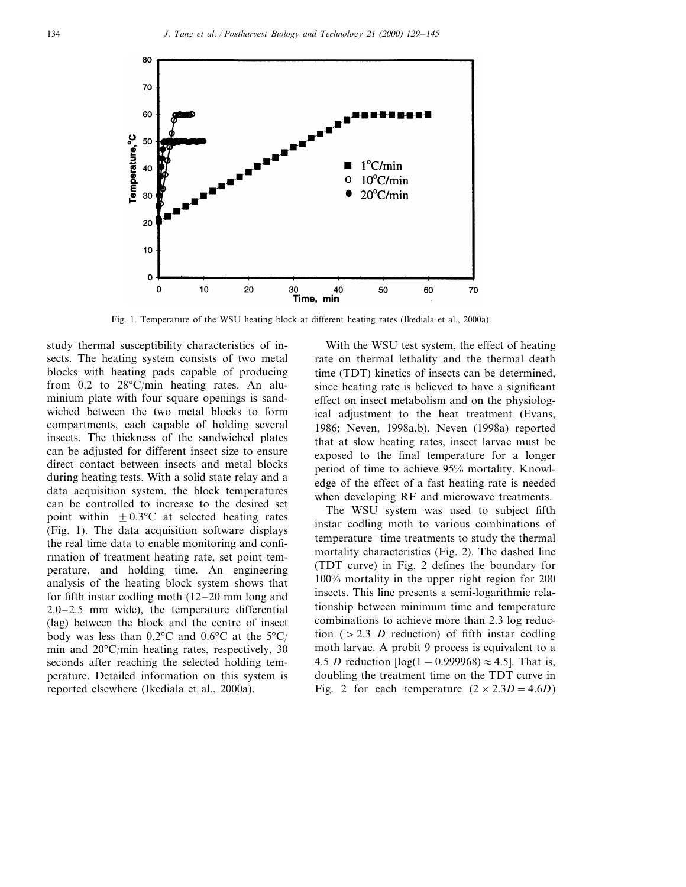

Fig. 1. Temperature of the WSU heating block at different heating rates (Ikediala et al., 2000a).

study thermal susceptibility characteristics of insects. The heating system consists of two metal blocks with heating pads capable of producing from 0.2 to 28°C/min heating rates. An aluminium plate with four square openings is sandwiched between the two metal blocks to form compartments, each capable of holding several insects. The thickness of the sandwiched plates can be adjusted for different insect size to ensure direct contact between insects and metal blocks during heating tests. With a solid state relay and a data acquisition system, the block temperatures can be controlled to increase to the desired set point within  $\pm 0.3$ °C at selected heating rates (Fig. 1). The data acquisition software displays the real time data to enable monitoring and confirmation of treatment heating rate, set point temperature, and holding time. An engineering analysis of the heating block system shows that for fifth instar codling moth (12–20 mm long and 2.0–2.5 mm wide), the temperature differential (lag) between the block and the centre of insect body was less than 0.2°C and 0.6°C at the 5°C/ min and 20°C/min heating rates, respectively, 30 seconds after reaching the selected holding temperature. Detailed information on this system is reported elsewhere (Ikediala et al., 2000a).

With the WSU test system, the effect of heating rate on thermal lethality and the thermal death time (TDT) kinetics of insects can be determined, since heating rate is believed to have a significant effect on insect metabolism and on the physiological adjustment to the heat treatment (Evans, 1986; Neven, 1998a,b). Neven (1998a) reported that at slow heating rates, insect larvae must be exposed to the final temperature for a longer period of time to achieve 95% mortality. Knowledge of the effect of a fast heating rate is needed when developing RF and microwave treatments.

The WSU system was used to subject fifth instar codling moth to various combinations of temperature–time treatments to study the thermal mortality characteristics (Fig. 2). The dashed line (TDT curve) in Fig. 2 defines the boundary for 100% mortality in the upper right region for 200 insects. This line presents a semi-logarithmic relationship between minimum time and temperature combinations to achieve more than 2.3 log reduction ( $> 2.3$  *D* reduction) of fifth instar codling moth larvae. A probit 9 process is equivalent to a 4.5 *D* reduction  $\log(1 - 0.999968) \approx 4.5$ . That is, doubling the treatment time on the TDT curve in Fig. 2 for each temperature  $(2 \times 2.3D = 4.6D)$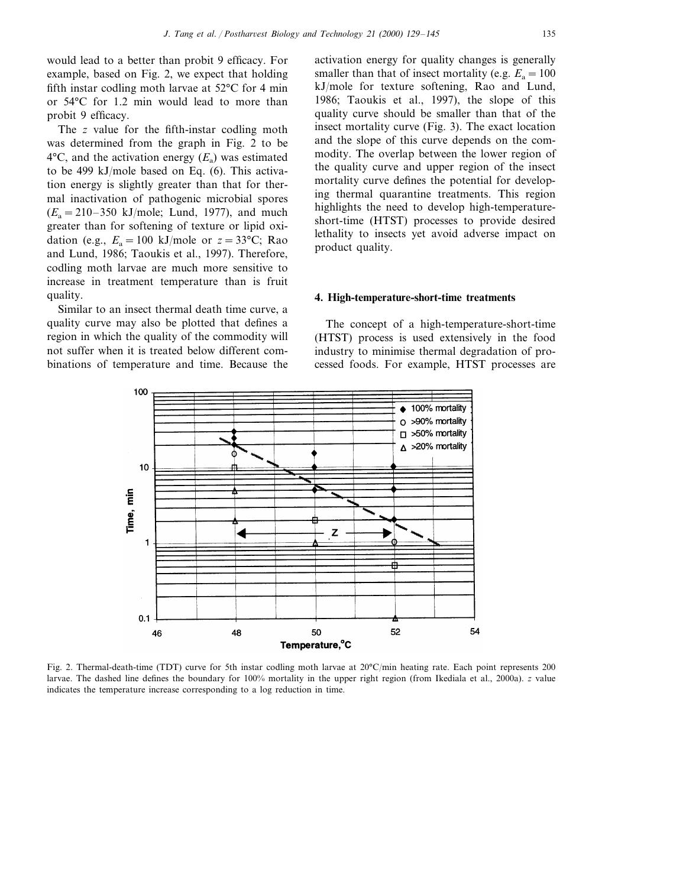would lead to a better than probit 9 efficacy. For example, based on Fig. 2, we expect that holding fifth instar codling moth larvae at 52°C for 4 min or 54°C for 1.2 min would lead to more than probit 9 efficacy.

The *z* value for the fifth-instar codling moth was determined from the graph in Fig. 2 to be  $4^{\circ}$ C, and the activation energy  $(E_{a})$  was estimated to be 499 kJ/mole based on Eq. (6). This activation energy is slightly greater than that for thermal inactivation of pathogenic microbial spores  $(E_a = 210 - 350 \text{ kJ/mole};$  Lund, 1977), and much greater than for softening of texture or lipid oxidation (e.g.,  $E_a = 100 \text{ kJ/mole or } z = 33^{\circ}\text{C}$ ; Rao and Lund, 1986; Taoukis et al., 1997). Therefore, codling moth larvae are much more sensitive to increase in treatment temperature than is fruit quality.

Similar to an insect thermal death time curve, a quality curve may also be plotted that defines a region in which the quality of the commodity will not suffer when it is treated below different combinations of temperature and time. Because the activation energy for quality changes is generally smaller than that of insect mortality (e.g.  $E_a = 100$ kJ/mole for texture softening, Rao and Lund, 1986; Taoukis et al., 1997), the slope of this quality curve should be smaller than that of the insect mortality curve (Fig. 3). The exact location and the slope of this curve depends on the commodity. The overlap between the lower region of the quality curve and upper region of the insect mortality curve defines the potential for developing thermal quarantine treatments. This region highlights the need to develop high-temperatureshort-time (HTST) processes to provide desired lethality to insects yet avoid adverse impact on product quality.

#### **4. High-temperature-short-time treatments**

The concept of a high-temperature-short-time (HTST) process is used extensively in the food industry to minimise thermal degradation of processed foods. For example, HTST processes are



Fig. 2. Thermal-death-time (TDT) curve for 5th instar codling moth larvae at 20°C/min heating rate. Each point represents 200 larvae. The dashed line defines the boundary for 100% mortality in the upper right region (from Ikediala et al., 2000a). *z* value indicates the temperature increase corresponding to a log reduction in time.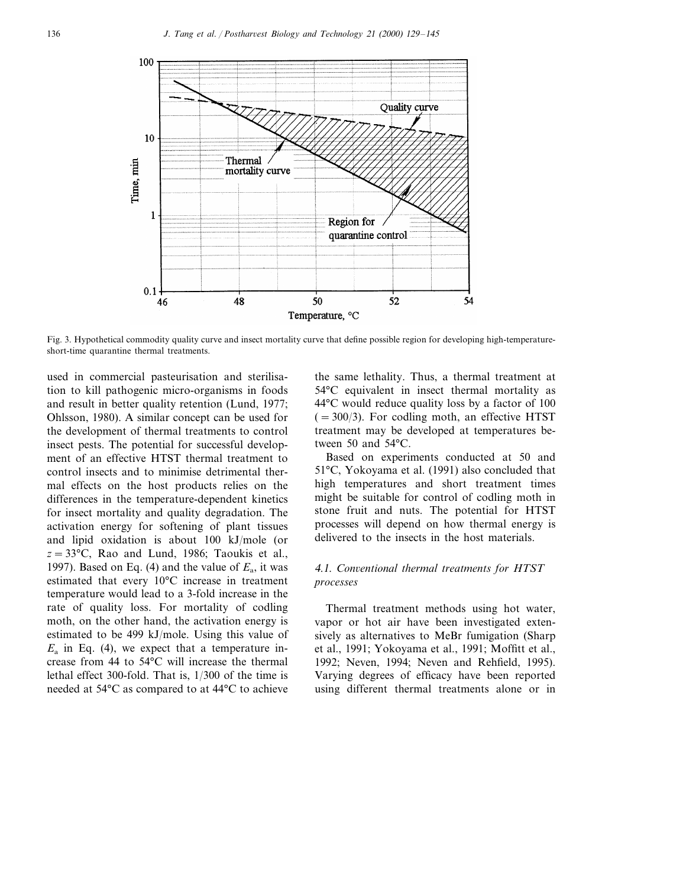

Fig. 3. Hypothetical commodity quality curve and insect mortality curve that define possible region for developing high-temperatureshort-time quarantine thermal treatments.

used in commercial pasteurisation and sterilisation to kill pathogenic micro-organisms in foods and result in better quality retention (Lund, 1977; Ohlsson, 1980). A similar concept can be used for the development of thermal treatments to control insect pests. The potential for successful development of an effective HTST thermal treatment to control insects and to minimise detrimental thermal effects on the host products relies on the differences in the temperature-dependent kinetics for insect mortality and quality degradation. The activation energy for softening of plant tissues and lipid oxidation is about 100 kJ/mole (or  $z = 33$ °C, Rao and Lund, 1986; Taoukis et al., 1997). Based on Eq. (4) and the value of  $E_a$ , it was estimated that every 10°C increase in treatment temperature would lead to a 3-fold increase in the rate of quality loss. For mortality of codling moth, on the other hand, the activation energy is estimated to be 499 kJ/mole. Using this value of  $E_a$  in Eq. (4), we expect that a temperature increase from 44 to 54°C will increase the thermal lethal effect 300-fold. That is, 1/300 of the time is needed at 54°C as compared to at 44°C to achieve

the same lethality. Thus, a thermal treatment at 54°C equivalent in insect thermal mortality as 44°C would reduce quality loss by a factor of 100  $(=300/3)$ . For codling moth, an effective HTST treatment may be developed at temperatures between 50 and 54°C.

Based on experiments conducted at 50 and 51°C, Yokoyama et al. (1991) also concluded that high temperatures and short treatment times might be suitable for control of codling moth in stone fruit and nuts. The potential for HTST processes will depend on how thermal energy is delivered to the insects in the host materials.

# 4.1. Conventional thermal treatments for HTST *processes*

Thermal treatment methods using hot water, vapor or hot air have been investigated extensively as alternatives to MeBr fumigation (Sharp et al., 1991; Yokoyama et al., 1991; Moffitt et al., 1992; Neven, 1994; Neven and Rehfield, 1995). Varying degrees of efficacy have been reported using different thermal treatments alone or in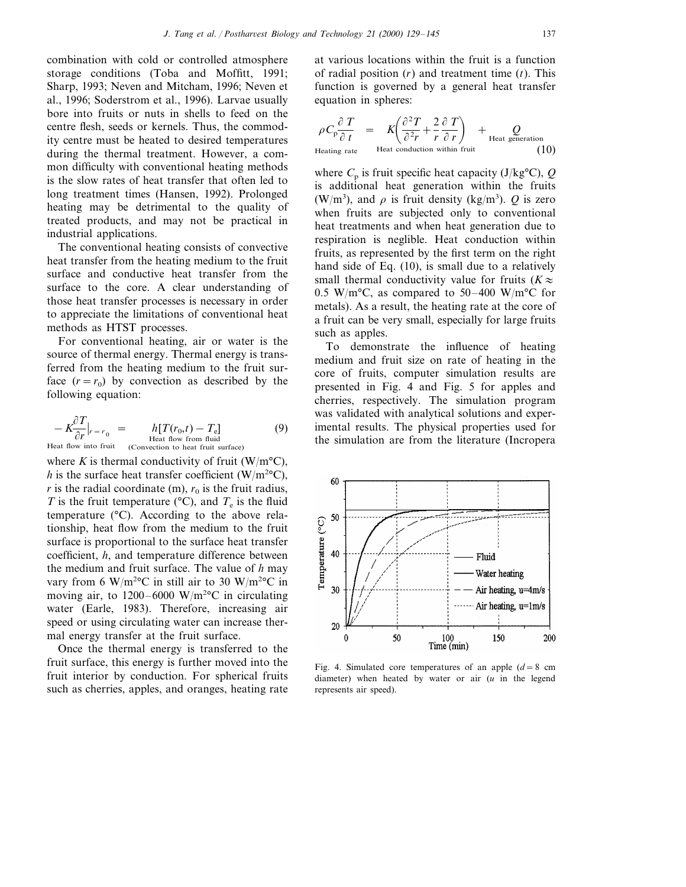combination with cold or controlled atmosphere storage conditions (Toba and Moffitt, 1991; Sharp, 1993; Neven and Mitcham, 1996; Neven et al., 1996; Soderstrom et al., 1996). Larvae usually bore into fruits or nuts in shells to feed on the centre flesh, seeds or kernels. Thus, the commodity centre must be heated to desired temperatures during the thermal treatment. However, a common difficulty with conventional heating methods is the slow rates of heat transfer that often led to long treatment times (Hansen, 1992). Prolonged heating may be detrimental to the quality of treated products, and may not be practical in industrial applications.

The conventional heating consists of convective heat transfer from the heating medium to the fruit surface and conductive heat transfer from the surface to the core. A clear understanding of those heat transfer processes is necessary in order to appreciate the limitations of conventional heat methods as HTST processes.

For conventional heating, air or water is the source of thermal energy. Thermal energy is transferred from the heating medium to the fruit surface  $(r = r_0)$  by convection as described by the following equation:

 $-K\frac{\partial T}{\partial r}|_{r=r_0}$  =  $h[T(r_0,t)-T_e]$ <br>Heat flow from fluid Heat flow into fruit (Convection to heat fruit surface) (9)

where *K* is thermal conductivity of fruit ( $W/m^{\circ}C$ ), *h* is the surface heat transfer coefficient ( $W/m^{20}C$ ), *r* is the radial coordinate (m),  $r_0$  is the fruit radius, *T* is the fruit temperature ( $^{\circ}$ C), and  $T_e$  is the fluid temperature (°C). According to the above relationship, heat flow from the medium to the fruit surface is proportional to the surface heat transfer coefficient, *h*, and temperature difference between the medium and fruit surface. The value of *h* may vary from 6 W/m<sup>2o</sup>C in still air to 30 W/m<sup>2o</sup>C in moving air, to  $1200 - 6000$  W/m<sup>2o</sup>C in circulating water (Earle, 1983). Therefore, increasing air speed or using circulating water can increase thermal energy transfer at the fruit surface.

Once the thermal energy is transferred to the fruit surface, this energy is further moved into the fruit interior by conduction. For spherical fruits such as cherries, apples, and oranges, heating rate at various locations within the fruit is a function of radial position (*r*) and treatment time (*t*). This function is governed by a general heat transfer equation in spheres:

$$
\rho C_{\mathbf{p}} \frac{\partial T}{\partial t} = K \left( \frac{\partial^2 T}{\partial^2 r} + \frac{2}{r} \frac{\partial T}{\partial r} \right) + \sum_{\text{Heat generation}}
$$
\n
$$
\text{Heating rate} \qquad \text{Heat conduction within fruit} \qquad (10)
$$

where  $C_p$  is fruit specific heat capacity (J/kg<sup>o</sup>C), *Q* is additional heat generation within the fruits (W/m<sup>3</sup>), and  $\rho$  is fruit density (kg/m<sup>3</sup>). *Q* is zero when fruits are subjected only to conventional heat treatments and when heat generation due to respiration is neglible. Heat conduction within fruits, as represented by the first term on the right hand side of Eq. (10), is small due to a relatively small thermal conductivity value for fruits ( $K \approx$ 0.5 W/m<sup>o</sup>C, as compared to 50–400 W/m<sup>o</sup>C for metals). As a result, the heating rate at the core of a fruit can be very small, especially for large fruits such as apples.

To demonstrate the influence of heating medium and fruit size on rate of heating in the core of fruits, computer simulation results are presented in Fig. 4 and Fig. 5 for apples and cherries, respectively. The simulation program was validated with analytical solutions and experimental results. The physical properties used for the simulation are from the literature (Incropera



Fig. 4. Simulated core temperatures of an apple  $(d=8 \text{ cm})$ diameter) when heated by water or air (*u* in the legend represents air speed).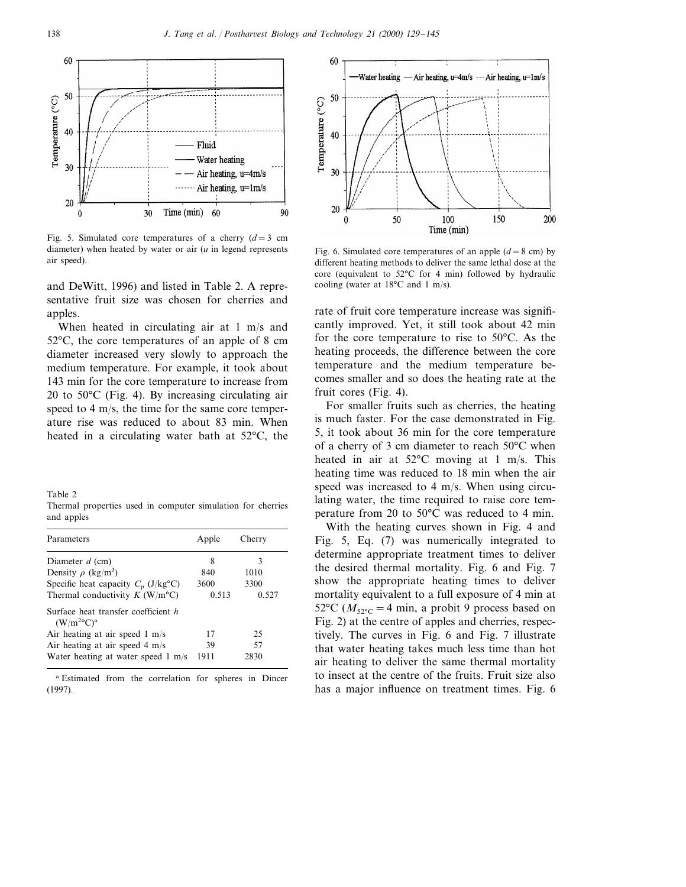

Fig. 5. Simulated core temperatures of a cherry  $(d=3$  cm diameter) when heated by water or air (*u* in legend represents air speed).

and DeWitt, 1996) and listed in Table 2. A repre- cooling (water at 18°C and 1 m/s). sentative fruit size was chosen for cherries and apples.

When heated in circulating air at 1 m/s and 52°C, the core temperatures of an apple of 8 cm diameter increased very slowly to approach the medium temperature. For example, it took about 143 min for the core temperature to increase from 20 to 50°C (Fig. 4). By increasing circulating air speed to 4 m/s, the time for the same core temperature rise was reduced to about 83 min. When heated in a circulating water bath at 52°C, the

Table 2

Thermal properties used in computer simulation for cherries and apples

| Parameters                                             | Apple | Cherry |
|--------------------------------------------------------|-------|--------|
| Diameter d (cm)                                        | 8     | 3      |
| Density $\rho$ (kg/m <sup>3</sup> )                    | 840   | 1010   |
| Specific heat capacity $C_p$ (J/kg <sup>o</sup> C)     | 3600  | 3300   |
| Thermal conductivity $K$ (W/m <sup>o</sup> C)          | 0.513 | 0.527  |
| Surface heat transfer coefficient h<br>$(W/m^{20}C)^a$ |       |        |
| Air heating at air speed $1 \text{ m/s}$               | 17    | 25     |
| Air heating at air speed 4 m/s                         | 39    | 57     |
| Water heating at water speed 1 m/s                     | 1911  | 2830   |

<sup>a</sup> Estimated from the correlation for spheres in Dincer (1997).



Fig. 6. Simulated core temperatures of an apple  $(d = 8 \text{ cm})$  by different heating methods to deliver the same lethal dose at the core (equivalent to 52°C for 4 min) followed by hydraulic

rate of fruit core temperature increase was significantly improved. Yet, it still took about 42 min for the core temperature to rise to 50°C. As the heating proceeds, the difference between the core temperature and the medium temperature becomes smaller and so does the heating rate at the fruit cores (Fig. 4).

For smaller fruits such as cherries, the heating is much faster. For the case demonstrated in Fig. 5, it took about 36 min for the core temperature of a cherry of 3 cm diameter to reach 50°C when heated in air at 52°C moving at 1 m/s. This heating time was reduced to 18 min when the air speed was increased to 4 m/s. When using circulating water, the time required to raise core temperature from 20 to 50°C was reduced to 4 min.

With the heating curves shown in Fig. 4 and Fig. 5, Eq. (7) was numerically integrated to determine appropriate treatment times to deliver the desired thermal mortality. Fig. 6 and Fig. 7 show the appropriate heating times to deliver mortality equivalent to a full exposure of 4 min at 52°C ( $M_{5.0\degree}$  = 4 min, a probit 9 process based on Fig. 2) at the centre of apples and cherries, respectively. The curves in Fig. 6 and Fig. 7 illustrate that water heating takes much less time than hot air heating to deliver the same thermal mortality to insect at the centre of the fruits. Fruit size also has a major influence on treatment times. Fig. 6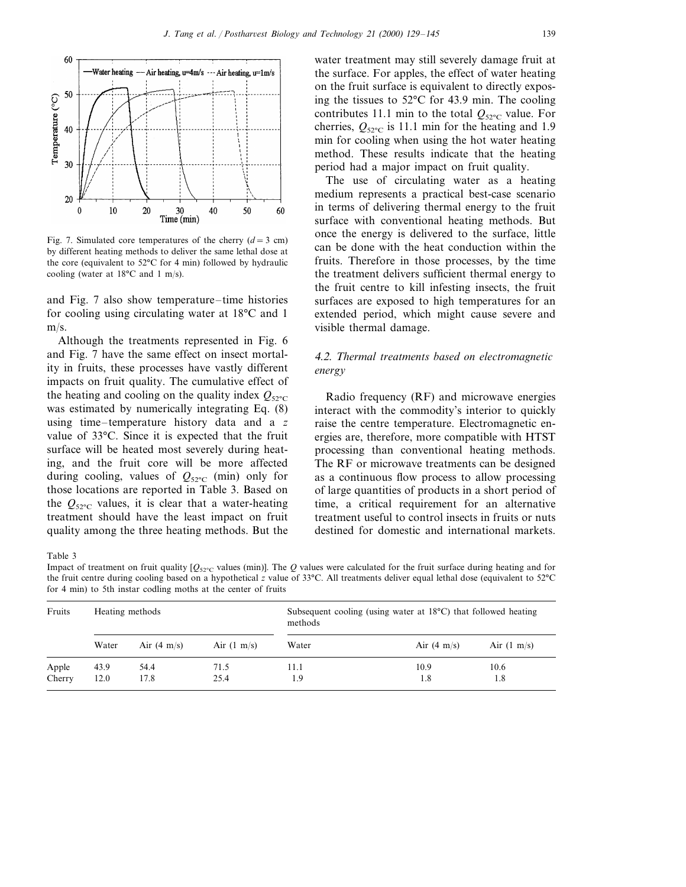

Fig. 7. Simulated core temperatures of the cherry  $(d=3 \text{ cm})$ by different heating methods to deliver the same lethal dose at the core (equivalent to 52°C for 4 min) followed by hydraulic cooling (water at 18°C and 1 m/s).

and Fig. 7 also show temperature–time histories for cooling using circulating water at 18°C and 1 m/s.

Although the treatments represented in Fig. 6 and Fig. 7 have the same effect on insect mortality in fruits, these processes have vastly different impacts on fruit quality. The cumulative effect of the heating and cooling on the quality index  $Q_{52°C}$ was estimated by numerically integrating Eq. (8) using time–temperature history data and a *z* value of 33°C. Since it is expected that the fruit surface will be heated most severely during heating, and the fruit core will be more affected during cooling, values of  $Q_{52^{\circ}C}$  (min) only for those locations are reported in Table 3. Based on the  $Q_{52^{\circ}C}$  values, it is clear that a water-heating treatment should have the least impact on fruit quality among the three heating methods. But the

water treatment may still severely damage fruit at the surface. For apples, the effect of water heating on the fruit surface is equivalent to directly exposing the tissues to 52°C for 43.9 min. The cooling contributes 11.1 min to the total  $Q_{52^{\circ}C}$  value. For cherries,  $Q_{52^{\circ}C}$  is 11.1 min for the heating and 1.9 min for cooling when using the hot water heating method. These results indicate that the heating period had a major impact on fruit quality.

The use of circulating water as a heating medium represents a practical best-case scenario in terms of delivering thermal energy to the fruit surface with conventional heating methods. But once the energy is delivered to the surface, little can be done with the heat conduction within the fruits. Therefore in those processes, by the time the treatment delivers sufficient thermal energy to the fruit centre to kill infesting insects, the fruit surfaces are exposed to high temperatures for an extended period, which might cause severe and visible thermal damage.

# <sup>4</sup>.2. *Thermal treatments based on electromagnetic energy*

Radio frequency (RF) and microwave energies interact with the commodity's interior to quickly raise the centre temperature. Electromagnetic energies are, therefore, more compatible with HTST processing than conventional heating methods. The RF or microwave treatments can be designed as a continuous flow process to allow processing of large quantities of products in a short period of time, a critical requirement for an alternative treatment useful to control insects in fruits or nuts destined for domestic and international markets.

Table 3

Impact of treatment on fruit quality  $[Q_{52}C]$  values (min)]. The *Q* values were calculated for the fruit surface during heating and for the fruit centre during cooling based on a hypothetical *z* value of 33°C. All treatments deliver equal lethal dose (equivalent to 52°C for 4 min) to 5th instar codling moths at the center of fruits

| Fruits          | Heating methods |                       |                       | Subsequent cooling (using water at $18^{\circ}$ C) that followed heating<br>methods |                       |                       |
|-----------------|-----------------|-----------------------|-----------------------|-------------------------------------------------------------------------------------|-----------------------|-----------------------|
|                 | Water           | Air $(4 \text{ m/s})$ | Air $(1 \text{ m/s})$ | Water                                                                               | Air $(4 \text{ m/s})$ | Air $(1 \text{ m/s})$ |
| Apple<br>Cherry | 43.9<br>12.0    | 54.4<br>17.8          | 71.5<br>25.4          | 11.1<br>1.9                                                                         | 10.9<br>1.8           | 10.6<br>1.8           |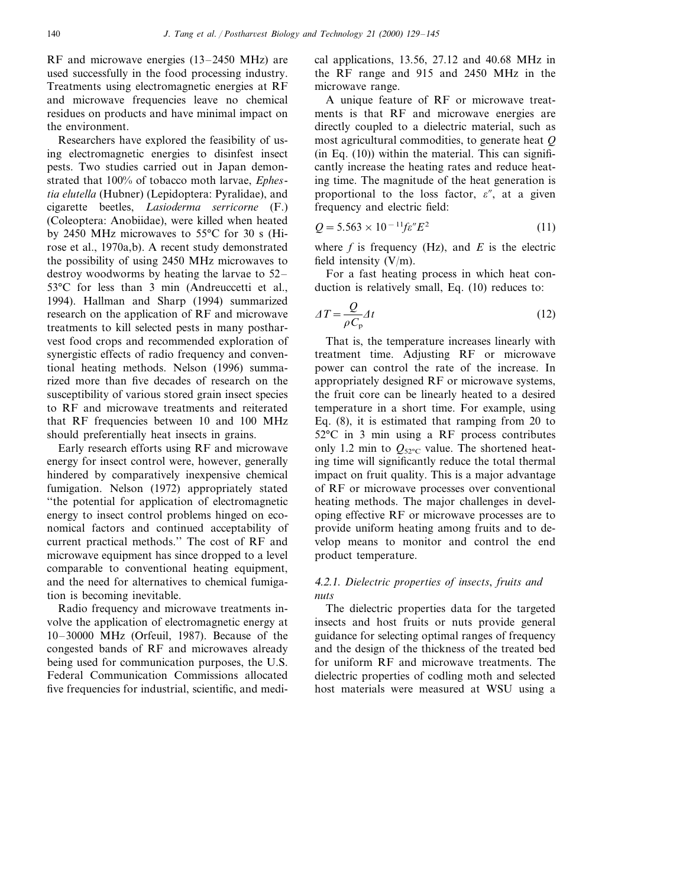RF and microwave energies (13–2450 MHz) are used successfully in the food processing industry. Treatments using electromagnetic energies at RF and microwave frequencies leave no chemical residues on products and have minimal impact on the environment.

Researchers have explored the feasibility of using electromagnetic energies to disinfest insect pests. Two studies carried out in Japan demonstrated that 100% of tobacco moth larvae, *Ephestia elutella* (Hubner) (Lepidoptera: Pyralidae), and cigarette beetles, *Lasioderma serricorne* (F.) (Coleoptera: Anobiidae), were killed when heated by 2450 MHz microwaves to 55°C for 30 s (Hirose et al., 1970a,b). A recent study demonstrated the possibility of using 2450 MHz microwaves to destroy woodworms by heating the larvae to 52– 53°C for less than 3 min (Andreuccetti et al., 1994). Hallman and Sharp (1994) summarized research on the application of RF and microwave treatments to kill selected pests in many postharvest food crops and recommended exploration of synergistic effects of radio frequency and conventional heating methods. Nelson (1996) summarized more than five decades of research on the susceptibility of various stored grain insect species to RF and microwave treatments and reiterated that RF frequencies between 10 and 100 MHz should preferentially heat insects in grains.

Early research efforts using RF and microwave energy for insect control were, however, generally hindered by comparatively inexpensive chemical fumigation. Nelson (1972) appropriately stated ''the potential for application of electromagnetic energy to insect control problems hinged on economical factors and continued acceptability of current practical methods.'' The cost of RF and microwave equipment has since dropped to a level comparable to conventional heating equipment, and the need for alternatives to chemical fumigation is becoming inevitable.

Radio frequency and microwave treatments involve the application of electromagnetic energy at 10–30000 MHz (Orfeuil, 1987). Because of the congested bands of RF and microwaves already being used for communication purposes, the U.S. Federal Communication Commissions allocated five frequencies for industrial, scientific, and medical applications, 13.56, 27.12 and 40.68 MHz in the RF range and 915 and 2450 MHz in the microwave range.

A unique feature of RF or microwave treatments is that RF and microwave energies are directly coupled to a dielectric material, such as most agricultural commodities, to generate heat *Q*  $(in Eq. (10))$  within the material. This can significantly increase the heating rates and reduce heating time. The magnitude of the heat generation is proportional to the loss factor,  $\varepsilon''$ , at a given frequency and electric field:

$$
Q = 5.563 \times 10^{-11} f \epsilon'' E^2 \tag{11}
$$

where  $f$  is frequency (Hz), and  $E$  is the electric field intensity  $(V/m)$ .

For a fast heating process in which heat conduction is relatively small, Eq. (10) reduces to:

$$
\Delta T = \frac{Q}{\rho C_{\rm p}} \Delta t \tag{12}
$$

That is, the temperature increases linearly with treatment time. Adjusting RF or microwave power can control the rate of the increase. In appropriately designed RF or microwave systems, the fruit core can be linearly heated to a desired temperature in a short time. For example, using Eq. (8), it is estimated that ramping from 20 to 52°C in 3 min using a RF process contributes only 1.2 min to  $Q_{52^{\circ}C}$  value. The shortened heating time will significantly reduce the total thermal impact on fruit quality. This is a major advantage of RF or microwave processes over conventional heating methods. The major challenges in developing effective RF or microwave processes are to provide uniform heating among fruits and to develop means to monitor and control the end product temperature.

# <sup>4</sup>.2.1. *Dielectric properties of insects*, *fruits and nuts*

The dielectric properties data for the targeted insects and host fruits or nuts provide general guidance for selecting optimal ranges of frequency and the design of the thickness of the treated bed for uniform RF and microwave treatments. The dielectric properties of codling moth and selected host materials were measured at WSU using a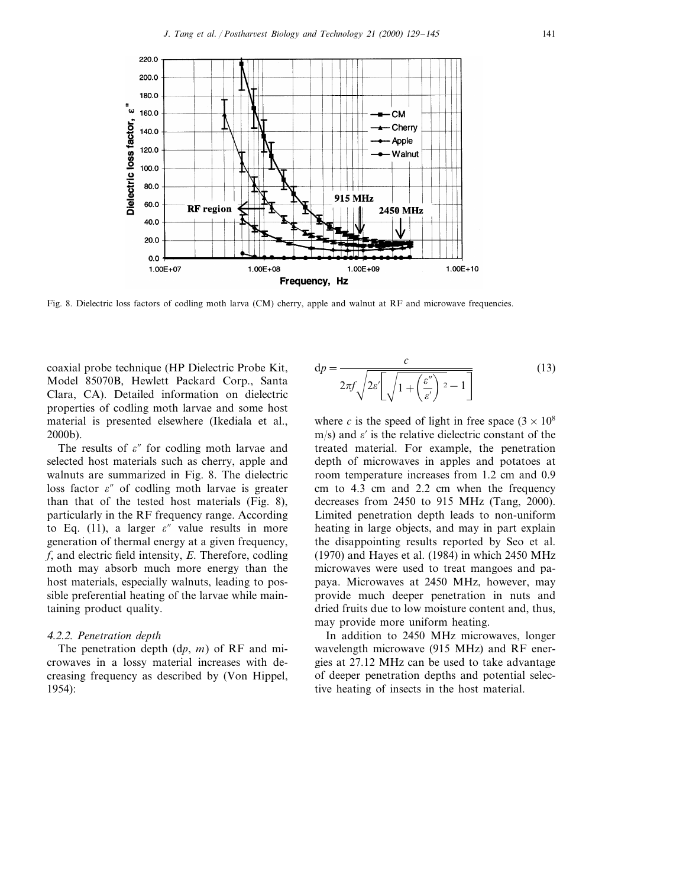

Fig. 8. Dielectric loss factors of codling moth larva (CM) cherry, apple and walnut at RF and microwave frequencies.

coaxial probe technique (HP Dielectric Probe Kit, Model 85070B, Hewlett Packard Corp., Santa Clara, CA). Detailed information on dielectric properties of codling moth larvae and some host material is presented elsewhere (Ikediala et al., 2000b).

The results of  $\varepsilon''$  for codling moth larvae and selected host materials such as cherry, apple and walnuts are summarized in Fig. 8. The dielectric loss factor  $\varepsilon''$  of codling moth larvae is greater than that of the tested host materials (Fig. 8), particularly in the RF frequency range. According to Eq. (11), a larger  $\varepsilon''$  value results in more generation of thermal energy at a given frequency, *f*, and electric field intensity, *E*. Therefore, codling moth may absorb much more energy than the host materials, especially walnuts, leading to possible preferential heating of the larvae while maintaining product quality.

### <sup>4</sup>.2.2. *Penetration depth*

The penetration depth (d*p*, *m*) of RF and microwaves in a lossy material increases with decreasing frequency as described by (Von Hippel, 1954):

$$
dp = \frac{c}{2\pi f \sqrt{2\varepsilon' \left[\sqrt{1 + \left(\frac{\varepsilon''}{\varepsilon'}\right)^2} - 1\right]}}
$$
(13)

where *c* is the speed of light in free space  $(3 \times 10^8)$ m/s) and  $\varepsilon'$  is the relative dielectric constant of the treated material. For example, the penetration depth of microwaves in apples and potatoes at room temperature increases from 1.2 cm and 0.9 cm to 4.3 cm and 2.2 cm when the frequency decreases from 2450 to 915 MHz (Tang, 2000). Limited penetration depth leads to non-uniform heating in large objects, and may in part explain the disappointing results reported by Seo et al. (1970) and Hayes et al. (1984) in which 2450 MHz microwaves were used to treat mangoes and papaya. Microwaves at 2450 MHz, however, may provide much deeper penetration in nuts and dried fruits due to low moisture content and, thus, may provide more uniform heating.

In addition to 2450 MHz microwaves, longer wavelength microwave (915 MHz) and RF energies at 27.12 MHz can be used to take advantage of deeper penetration depths and potential selective heating of insects in the host material.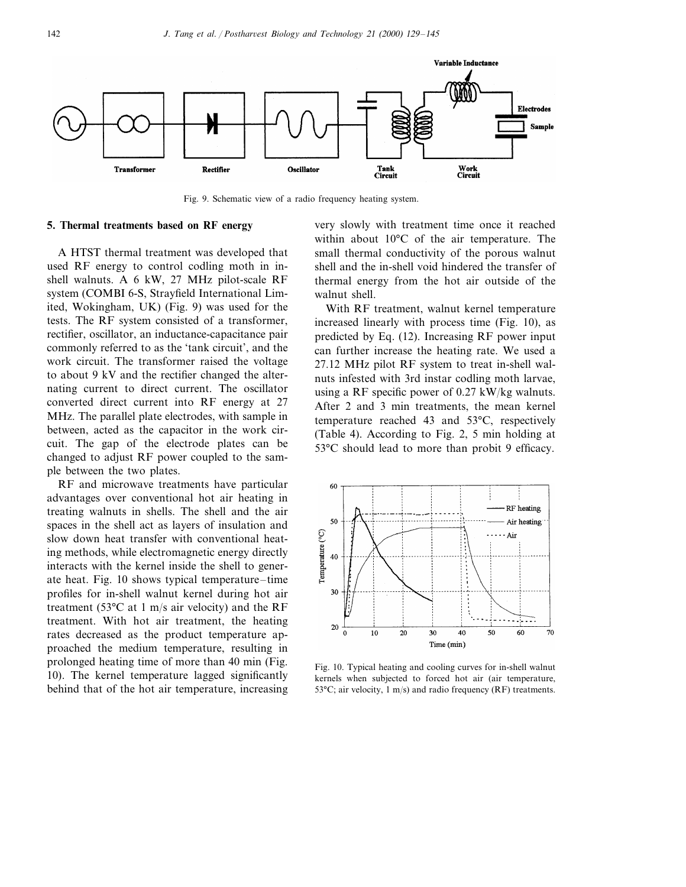

Fig. 9. Schematic view of a radio frequency heating system.

#### **5. Thermal treatments based on RF energy**

A HTST thermal treatment was developed that used RF energy to control codling moth in inshell walnuts. A 6 kW, 27 MHz pilot-scale RF system (COMBI 6-S, Strayfield International Limited, Wokingham, UK) (Fig. 9) was used for the tests. The RF system consisted of a transformer, rectifier, oscillator, an inductance-capacitance pair commonly referred to as the 'tank circuit', and the work circuit. The transformer raised the voltage to about 9 kV and the rectifier changed the alternating current to direct current. The oscillator converted direct current into RF energy at 27 MHz. The parallel plate electrodes, with sample in between, acted as the capacitor in the work circuit. The gap of the electrode plates can be changed to adjust RF power coupled to the sample between the two plates.

RF and microwave treatments have particular advantages over conventional hot air heating in treating walnuts in shells. The shell and the air spaces in the shell act as layers of insulation and slow down heat transfer with conventional heating methods, while electromagnetic energy directly interacts with the kernel inside the shell to generate heat. Fig. 10 shows typical temperature–time profiles for in-shell walnut kernel during hot air treatment (53°C at 1 m/s air velocity) and the RF treatment. With hot air treatment, the heating rates decreased as the product temperature approached the medium temperature, resulting in prolonged heating time of more than 40 min (Fig. 10). The kernel temperature lagged significantly behind that of the hot air temperature, increasing very slowly with treatment time once it reached within about 10°C of the air temperature. The small thermal conductivity of the porous walnut shell and the in-shell void hindered the transfer of thermal energy from the hot air outside of the walnut shell.

With RF treatment, walnut kernel temperature increased linearly with process time (Fig. 10), as predicted by Eq. (12). Increasing RF power input can further increase the heating rate. We used a 27.12 MHz pilot RF system to treat in-shell walnuts infested with 3rd instar codling moth larvae, using a RF specific power of 0.27 kW/kg walnuts. After 2 and 3 min treatments, the mean kernel temperature reached 43 and 53°C, respectively (Table 4). According to Fig. 2, 5 min holding at 53°C should lead to more than probit 9 efficacy.



Fig. 10. Typical heating and cooling curves for in-shell walnut kernels when subjected to forced hot air (air temperature, 53 $^{\circ}$ C; air velocity, 1 m/s) and radio frequency (RF) treatments.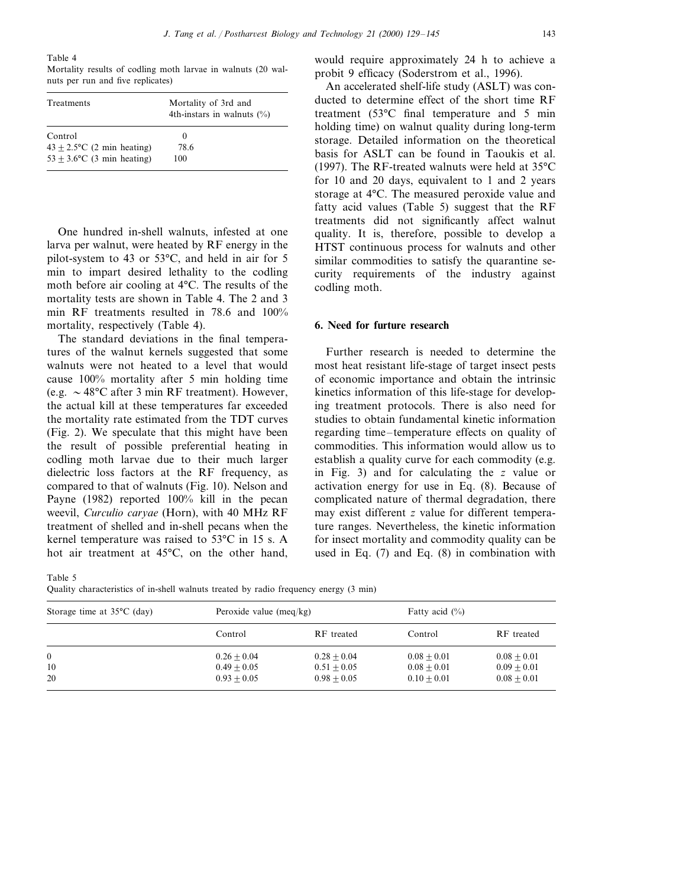Table 4

Mortality results of codling moth larvae in walnuts (20 walnuts per run and five replicates)

| Treatments                    | Mortality of 3rd and<br>4th-instars in walnuts $(\% )$ |
|-------------------------------|--------------------------------------------------------|
| Control                       | $\Omega$                                               |
| $43 + 2.5$ °C (2 min heating) | 78.6                                                   |
| $53 + 3.6$ °C (3 min heating) | 100                                                    |

One hundred in-shell walnuts, infested at one larva per walnut, were heated by RF energy in the pilot-system to 43 or 53°C, and held in air for 5 min to impart desired lethality to the codling moth before air cooling at 4°C. The results of the mortality tests are shown in Table 4. The 2 and 3 min RF treatments resulted in 78.6 and 100% mortality, respectively (Table 4).

The standard deviations in the final temperatures of the walnut kernels suggested that some walnuts were not heated to a level that would cause 100% mortality after 5 min holding time (e.g.  $\sim$  48°C after 3 min RF treatment). However, the actual kill at these temperatures far exceeded the mortality rate estimated from the TDT curves (Fig. 2). We speculate that this might have been the result of possible preferential heating in codling moth larvae due to their much larger dielectric loss factors at the RF frequency, as compared to that of walnuts (Fig. 10). Nelson and Payne (1982) reported 100% kill in the pecan weevil, *Curculio caryae* (Horn), with 40 MHz RF treatment of shelled and in-shell pecans when the kernel temperature was raised to 53°C in 15 s. A hot air treatment at 45°C, on the other hand, would require approximately 24 h to achieve a probit 9 efficacy (Soderstrom et al., 1996).

An accelerated shelf-life study (ASLT) was conducted to determine effect of the short time RF treatment (53°C final temperature and 5 min holding time) on walnut quality during long-term storage. Detailed information on the theoretical basis for ASLT can be found in Taoukis et al. (1997). The RF-treated walnuts were held at 35°C for 10 and 20 days, equivalent to 1 and 2 years storage at 4°C. The measured peroxide value and fatty acid values (Table 5) suggest that the RF treatments did not significantly affect walnut quality. It is, therefore, possible to develop a HTST continuous process for walnuts and other similar commodities to satisfy the quarantine security requirements of the industry against codling moth.

### **6. Need for furture research**

Further research is needed to determine the most heat resistant life-stage of target insect pests of economic importance and obtain the intrinsic kinetics information of this life-stage for developing treatment protocols. There is also need for studies to obtain fundamental kinetic information regarding time–temperature effects on quality of commodities. This information would allow us to establish a quality curve for each commodity (e.g. in Fig. 3) and for calculating the *z* value or activation energy for use in Eq. (8). Because of complicated nature of thermal degradation, there may exist different *z* value for different temperature ranges. Nevertheless, the kinetic information for insect mortality and commodity quality can be used in Eq. (7) and Eq. (8) in combination with

Table 5

Quality characteristics of in-shell walnuts treated by radio frequency energy (3 min)

| Storage time at $35^{\circ}$ C (day) |               | Peroxide value $(meq/kg)$ |               | Fatty acid $(\% )$ |  |
|--------------------------------------|---------------|---------------------------|---------------|--------------------|--|
|                                      | Control       | RF treated                | Control       | RF treated         |  |
| $\theta$                             | $0.26 + 0.04$ | $0.28 + 0.04$             | $0.08 + 0.01$ | $0.08 + 0.01$      |  |
| 10                                   | $0.49 + 0.05$ | $0.51 + 0.05$             | $0.08 + 0.01$ | $0.09 + 0.01$      |  |
| 20                                   | $0.93 + 0.05$ | $0.98 + 0.05$             | $0.10 + 0.01$ | $0.08 + 0.01$      |  |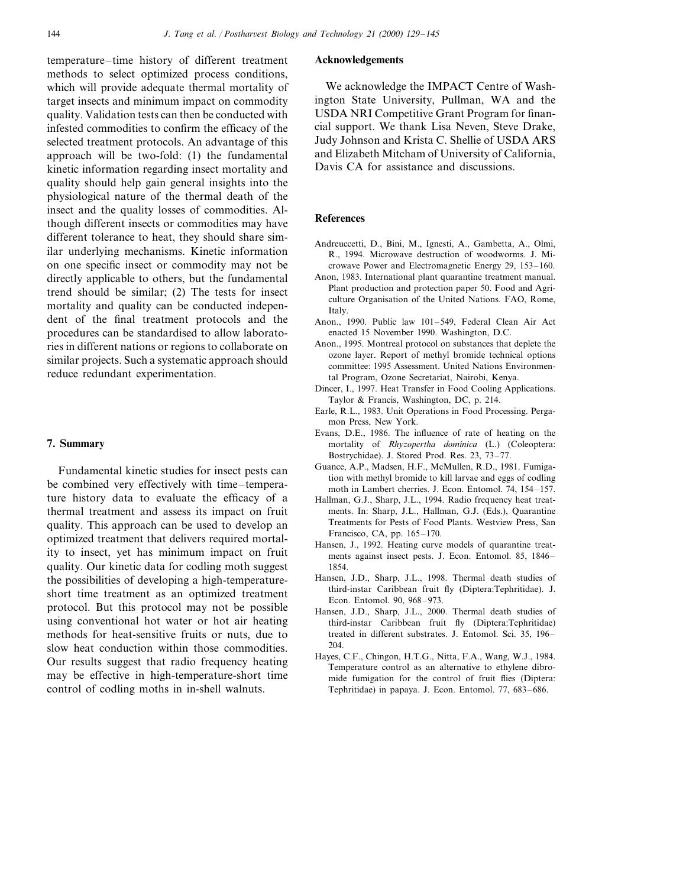temperature–time history of different treatment methods to select optimized process conditions, which will provide adequate thermal mortality of target insects and minimum impact on commodity quality. Validation tests can then be conducted with infested commodities to confirm the efficacy of the selected treatment protocols. An advantage of this approach will be two-fold: (1) the fundamental kinetic information regarding insect mortality and quality should help gain general insights into the physiological nature of the thermal death of the insect and the quality losses of commodities. Although different insects or commodities may have different tolerance to heat, they should share similar underlying mechanisms. Kinetic information on one specific insect or commodity may not be directly applicable to others, but the fundamental trend should be similar; (2) The tests for insect mortality and quality can be conducted independent of the final treatment protocols and the procedures can be standardised to allow laboratories in different nations or regions to collaborate on similar projects. Such a systematic approach should reduce redundant experimentation.

## **7. Summary**

Fundamental kinetic studies for insect pests can be combined very effectively with time–temperature history data to evaluate the efficacy of a thermal treatment and assess its impact on fruit quality. This approach can be used to develop an optimized treatment that delivers required mortality to insect, yet has minimum impact on fruit quality. Our kinetic data for codling moth suggest the possibilities of developing a high-temperatureshort time treatment as an optimized treatment protocol. But this protocol may not be possible using conventional hot water or hot air heating methods for heat-sensitive fruits or nuts, due to slow heat conduction within those commodities. Our results suggest that radio frequency heating may be effective in high-temperature-short time control of codling moths in in-shell walnuts.

### **Acknowledgements**

We acknowledge the IMPACT Centre of Washington State University, Pullman, WA and the USDA NRI Competitive Grant Program for financial support. We thank Lisa Neven, Steve Drake, Judy Johnson and Krista C. Shellie of USDA ARS and Elizabeth Mitcham of University of California, Davis CA for assistance and discussions.

### **References**

- Andreuccetti, D., Bini, M., Ignesti, A., Gambetta, A., Olmi, R., 1994. Microwave destruction of woodworms. J. Microwave Power and Electromagnetic Energy 29, 153–160.
- Anon, 1983. International plant quarantine treatment manual. Plant production and protection paper 50. Food and Agriculture Organisation of the United Nations. FAO, Rome, Italy.
- Anon., 1990. Public law 101–549, Federal Clean Air Act enacted 15 November 1990. Washington, D.C.
- Anon., 1995. Montreal protocol on substances that deplete the ozone layer. Report of methyl bromide technical options committee: 1995 Assessment. United Nations Environmental Program, Ozone Secretariat, Nairobi, Kenya.
- Dincer, I., 1997. Heat Transfer in Food Cooling Applications. Taylor & Francis, Washington, DC, p. 214.
- Earle, R.L., 1983. Unit Operations in Food Processing. Pergamon Press, New York.
- Evans, D.E., 1986. The influence of rate of heating on the mortality of *Rhyzopertha dominica* (L.) (Coleoptera: Bostrychidae). J. Stored Prod. Res. 23, 73–77.
- Guance, A.P., Madsen, H.F., McMullen, R.D., 1981. Fumigation with methyl bromide to kill larvae and eggs of codling moth in Lambert cherries. J. Econ. Entomol. 74, 154–157.
- Hallman, G.J., Sharp, J.L., 1994. Radio frequency heat treatments. In: Sharp, J.L., Hallman, G.J. (Eds.), Quarantine Treatments for Pests of Food Plants. Westview Press, San Francisco, CA, pp. 165–170.
- Hansen, J., 1992. Heating curve models of quarantine treatments against insect pests. J. Econ. Entomol. 85, 1846– 1854.
- Hansen, J.D., Sharp, J.L., 1998. Thermal death studies of third-instar Caribbean fruit fly (Diptera:Tephritidae). J. Econ. Entomol. 90, 968–973.
- Hansen, J.D., Sharp, J.L., 2000. Thermal death studies of third-instar Caribbean fruit fly (Diptera:Tephritidae) treated in different substrates. J. Entomol. Sci. 35, 196– 204.
- Hayes, C.F., Chingon, H.T.G., Nitta, F.A., Wang, W.J., 1984. Temperature control as an alternative to ethylene dibromide fumigation for the control of fruit flies (Diptera: Tephritidae) in papaya. J. Econ. Entomol. 77, 683–686.